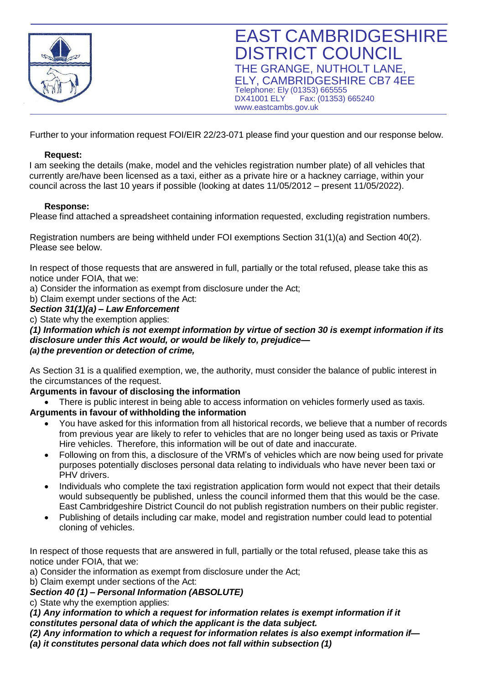

Further to your information request FOI/EIR 22/23-071 please find your question and our response below.

### **Request:**

I am seeking the details (make, model and the vehicles registration number plate) of all vehicles that currently are/have been licensed as a taxi, either as a private hire or a hackney carriage, within your council across the last 10 years if possible (looking at dates 11/05/2012 – present 11/05/2022).

### **Response:**

Please find attached a spreadsheet containing information requested, excluding registration numbers.

Registration numbers are being withheld under FOI exemptions Section 31(1)(a) and Section 40(2). Please see below.

In respect of those requests that are answered in full, partially or the total refused, please take this as notice under FOIA, that we:

a) Consider the information as exempt from disclosure under the Act;

b) Claim exempt under sections of the Act:

## *Section 31(1)(a) – Law Enforcement*

c) State why the exemption applies:

*(1) Information which is not exempt information by virtue of section 30 is exempt information if its disclosure under this Act would, or would be likely to, prejudice— (a) the prevention or detection of crime,*

As Section 31 is a qualified exemption, we, the authority, must consider the balance of public interest in the circumstances of the request.

### **Arguments in favour of disclosing the information**

• There is public interest in being able to access information on vehicles formerly used as taxis.

# **Arguments in favour of withholding the information**

- You have asked for this information from all historical records, we believe that a number of records from previous year are likely to refer to vehicles that are no longer being used as taxis or Private Hire vehicles. Therefore, this information will be out of date and inaccurate.
- Following on from this, a disclosure of the VRM's of vehicles which are now being used for private purposes potentially discloses personal data relating to individuals who have never been taxi or PHV drivers.
- Individuals who complete the taxi registration application form would not expect that their details would subsequently be published, unless the council informed them that this would be the case. East Cambridgeshire District Council do not publish registration numbers on their public register.
- Publishing of details including car make, model and registration number could lead to potential cloning of vehicles.

In respect of those requests that are answered in full, partially or the total refused, please take this as notice under FOIA, that we:

a) Consider the information as exempt from disclosure under the Act;

b) Claim exempt under sections of the Act:

*Section 40 (1) – Personal Information (ABSOLUTE)*

c) State why the exemption applies:

*(1) Any information to which a request for information relates is exempt information if it* 

*constitutes personal data of which the applicant is the data subject.*

*(2) Any information to which a request for information relates is also exempt information if—*

*(a) it constitutes personal data which does not fall within subsection (1)*